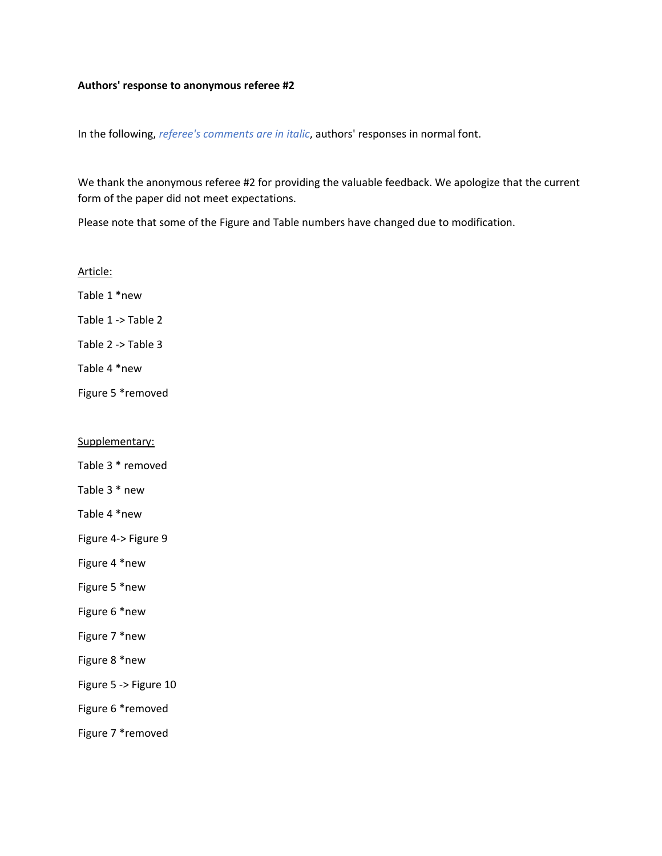#### **Authors' response to anonymous referee #2**

In the following, *referee's comments are in italic*, authors' responses in normal font.

We thank the anonymous referee #2 for providing the valuable feedback. We apologize that the current form of the paper did not meet expectations.

Please note that some of the Figure and Table numbers have changed due to modification.

Article: Table 1 \*new Table 1 -> Table 2 Table 2 -> Table 3 Table 4 \*new Figure 5 \*removed

## Supplementary:

Table 3 \* removed

Table 3 \* new

Table 4 \*new

Figure 4-> Figure 9

Figure 4 \*new

Figure 5 \*new

Figure 6 \*new

Figure 7 \*new

Figure 8 \*new

Figure 5 -> Figure 10

Figure 6 \*removed

Figure 7 \*removed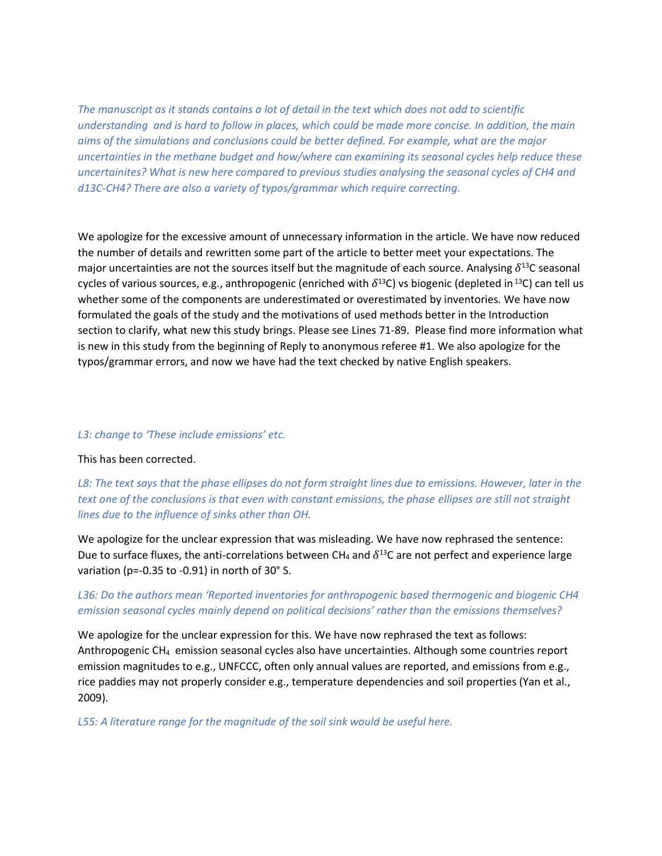*The manuscript as it stands contains a lot of detail in the text which does not add to scientific understanding and is hard to follow in places, which could be made more concise. In addition, the main aims of the simulations and conclusions could be better defined. For example, what are the major uncertainties in the methane budget and how/where can examining its seasonal cycles help reduce these uncertainites? What is new here compared to previous studies analysing the seasonal cycles of CH4 and d13C-CH4? There are also a variety of typos/grammar which require correcting.*

We apologize for the excessive amount of unnecessary information in the article. We have now reduced the number of details and rewritten some part of the article to better meet your expectations. The major uncertainties are not the sources itself but the magnitude of each source. Analysing  $\delta^{13}$ C seasonal cycles of various sources, e.g., anthropogenic (enriched with  $\delta^{13}$ C) vs biogenic (depleted in <sup>13</sup>C) can tell us whether some of the components are underestimated or overestimated by inventories. We have now formulated the goals of the study and the motivations of used methods better in the Introduction section to clarify, what new this study brings. Please see Lines 71-89. Please find more information what is new in this study from the beginning of Reply to anonymous referee #1. We also apologize for the typos/grammar errors, and now we have had the text checked by native English speakers.

### *L3: change to 'These include emissions' etc.*

#### This has been corrected.

*L8: The text says that the phase ellipses do not form straight lines due to emissions. However, later in the text one of the conclusions is that even with constant emissions, the phase ellipses are still not straight lines due to the influence of sinks other than OH.*

We apologize for the unclear expression that was misleading. We have now rephrased the sentence: Due to surface fluxes, the anti-correlations between CH<sub>4</sub> and  $\delta^{13}$ C are not perfect and experience large variation (p=-0.35 to -0.91) in north of 30° S.

## *L36: Do the authors mean 'Reported inventories for anthropogenic based thermogenic and biogenic CH4 emission seasonal cycles mainly depend on political decisions' rather than the emissions themselves?*

We apologize for the unclear expression for this. We have now rephrased the text as follows: Anthropogenic CH4 emission seasonal cycles also have uncertainties. Although some countries report emission magnitudes to e.g., UNFCCC, often only annual values are reported, and emissions from e.g., rice paddies may not properly consider e.g., temperature dependencies and soil properties (Yan et al., 2009).

*L55: A literature range for the magnitude of the soil sink would be useful here.*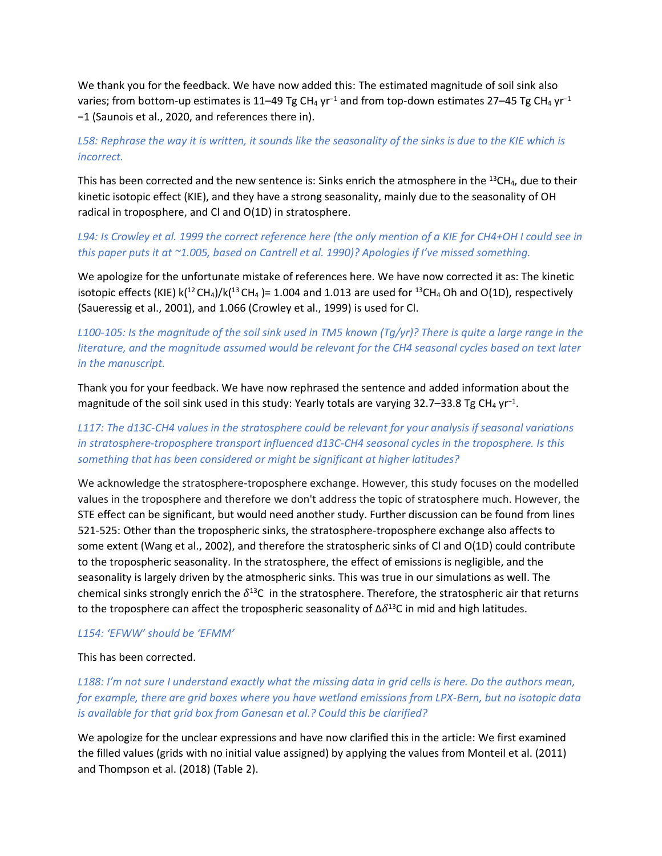We thank you for the feedback. We have now added this: The estimated magnitude of soil sink also varies; from bottom-up estimates is 11–49 Tg CH<sub>4</sub> yr<sup>-1</sup> and from top-down estimates 27–45 Tg CH<sub>4</sub> yr<sup>-1</sup> −1 (Saunois et al., 2020, and references there in).

# *L58: Rephrase the way it is written, it sounds like the seasonality of the sinks is due to the KIE which is incorrect.*

This has been corrected and the new sentence is: Sinks enrich the atmosphere in the  $^{13}CH_4$ , due to their kinetic isotopic effect (KIE), and they have a strong seasonality, mainly due to the seasonality of OH radical in troposphere, and Cl and O(1D) in stratosphere.

# *L94: Is Crowley et al. 1999 the correct reference here (the only mention of a KIE for CH4+OH I could see in this paper puts it at ~1.005, based on Cantrell et al. 1990)? Apologies if I've missed something.*

We apologize for the unfortunate mistake of references here. We have now corrected it as: The kinetic isotopic effects (KIE)  $k(^{12}CH_4)/k(^{13}CH_4) = 1.004$  and 1.013 are used for  $^{13}CH_4$  Oh and O(1D), respectively (Saueressig et al., 2001), and 1.066 (Crowley et al., 1999) is used for Cl.

# *L100-105: Is the magnitude of the soil sink used in TM5 known (Tg/yr)? There is quite a large range in the literature, and the magnitude assumed would be relevant for the CH4 seasonal cycles based on text later in the manuscript.*

Thank you for your feedback. We have now rephrased the sentence and added information about the magnitude of the soil sink used in this study: Yearly totals are varying 32.7–33.8 Tg CH<sub>4</sub> yr<sup>-1</sup>.

# *L117: The d13C-CH4 values in the stratosphere could be relevant for your analysis if seasonal variations in stratosphere-troposphere transport influenced d13C-CH4 seasonal cycles in the troposphere. Is this something that has been considered or might be significant at higher latitudes?*

We acknowledge the stratosphere-troposphere exchange. However, this study focuses on the modelled values in the troposphere and therefore we don't address the topic of stratosphere much. However, the STE effect can be significant, but would need another study. Further discussion can be found from lines 521-525: Other than the tropospheric sinks, the stratosphere-troposphere exchange also affects to some extent (Wang et al., 2002), and therefore the stratospheric sinks of Cl and O(1D) could contribute to the tropospheric seasonality. In the stratosphere, the effect of emissions is negligible, and the seasonality is largely driven by the atmospheric sinks. This was true in our simulations as well. The chemical sinks strongly enrich the  $\delta^{13}C$  in the stratosphere. Therefore, the stratospheric air that returns to the troposphere can affect the tropospheric seasonality of  $\Delta \delta^{13}$ C in mid and high latitudes.

## *L154: 'EFWW' should be 'EFMM'*

## This has been corrected.

*L188: I'm not sure I understand exactly what the missing data in grid cells is here. Do the authors mean, for example, there are grid boxes where you have wetland emissions from LPX-Bern, but no isotopic data is available for that grid box from Ganesan et al.? Could this be clarified?*

We apologize for the unclear expressions and have now clarified this in the article: We first examined the filled values (grids with no initial value assigned) by applying the values from Monteil et al. (2011) and Thompson et al. (2018) (Table 2).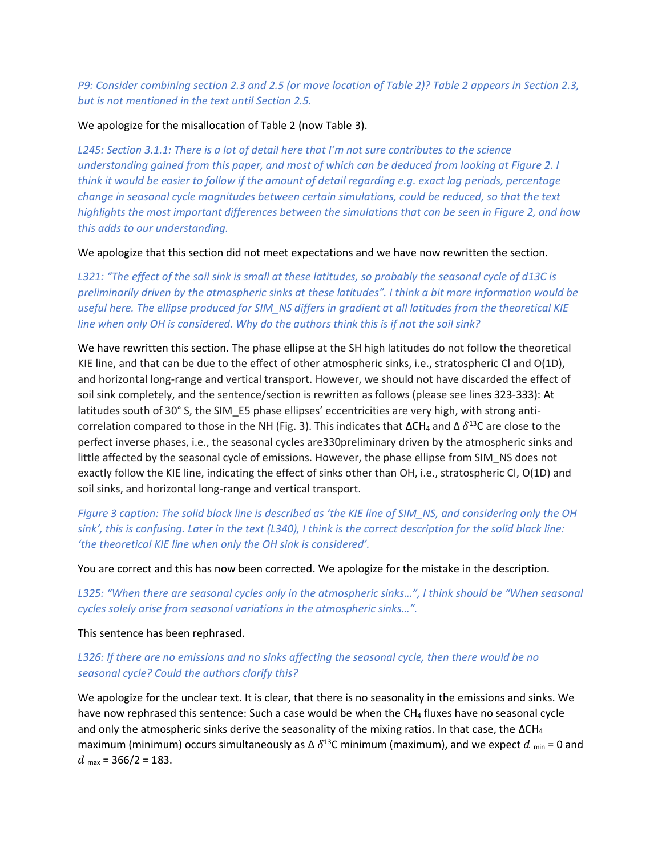*P9: Consider combining section 2.3 and 2.5 (or move location of Table 2)? Table 2 appears in Section 2.3, but is not mentioned in the text until Section 2.5.*

### We apologize for the misallocation of Table 2 (now Table 3).

*L245: Section 3.1.1: There is a lot of detail here that I'm not sure contributes to the science understanding gained from this paper, and most of which can be deduced from looking at Figure 2. I think it would be easier to follow if the amount of detail regarding e.g. exact lag periods, percentage change in seasonal cycle magnitudes between certain simulations, could be reduced, so that the text highlights the most important differences between the simulations that can be seen in Figure 2, and how this adds to our understanding.*

We apologize that this section did not meet expectations and we have now rewritten the section.

*L321: "The effect of the soil sink is small at these latitudes, so probably the seasonal cycle of d13C is preliminarily driven by the atmospheric sinks at these latitudes". I think a bit more information would be useful here. The ellipse produced for SIM\_NS differs in gradient at all latitudes from the theoretical KIE line when only OH is considered. Why do the authors think this is if not the soil sink?*

We have rewritten this section. The phase ellipse at the SH high latitudes do not follow the theoretical KIE line, and that can be due to the effect of other atmospheric sinks, i.e., stratospheric Cl and O(1D), and horizontal long-range and vertical transport. However, we should not have discarded the effect of soil sink completely, and the sentence/section is rewritten as follows (please see lines 323-333): At latitudes south of 30° S, the SIM\_E5 phase ellipses' eccentricities are very high, with strong anticorrelation compared to those in the NH (Fig. 3). This indicates that  $\Delta CH_4$  and  $\Delta \delta^{13}$ C are close to the perfect inverse phases, i.e., the seasonal cycles are330preliminary driven by the atmospheric sinks and little affected by the seasonal cycle of emissions. However, the phase ellipse from SIM\_NS does not exactly follow the KIE line, indicating the effect of sinks other than OH, i.e., stratospheric Cl, O(1D) and soil sinks, and horizontal long-range and vertical transport.

*Figure 3 caption: The solid black line is described as 'the KIE line of SIM\_NS, and considering only the OH sink', this is confusing. Later in the text (L340), I think is the correct description for the solid black line: 'the theoretical KIE line when only the OH sink is considered'.*

You are correct and this has now been corrected. We apologize for the mistake in the description.

*L325: "When there are seasonal cycles only in the atmospheric sinks…", I think should be "When seasonal cycles solely arise from seasonal variations in the atmospheric sinks…".*

This sentence has been rephrased.

# *L326: If there are no emissions and no sinks affecting the seasonal cycle, then there would be no seasonal cycle? Could the authors clarify this?*

We apologize for the unclear text. It is clear, that there is no seasonality in the emissions and sinks. We have now rephrased this sentence: Such a case would be when the CH<sub>4</sub> fluxes have no seasonal cycle and only the atmospheric sinks derive the seasonality of the mixing ratios. In that case, the  $\Delta CH_4$ maximum (minimum) occurs simultaneously as  $\Delta \delta^{13}$ C minimum (maximum), and we expect  $d$  <sub>min</sub> = 0 and  $d_{\text{max}}$  = 366/2 = 183.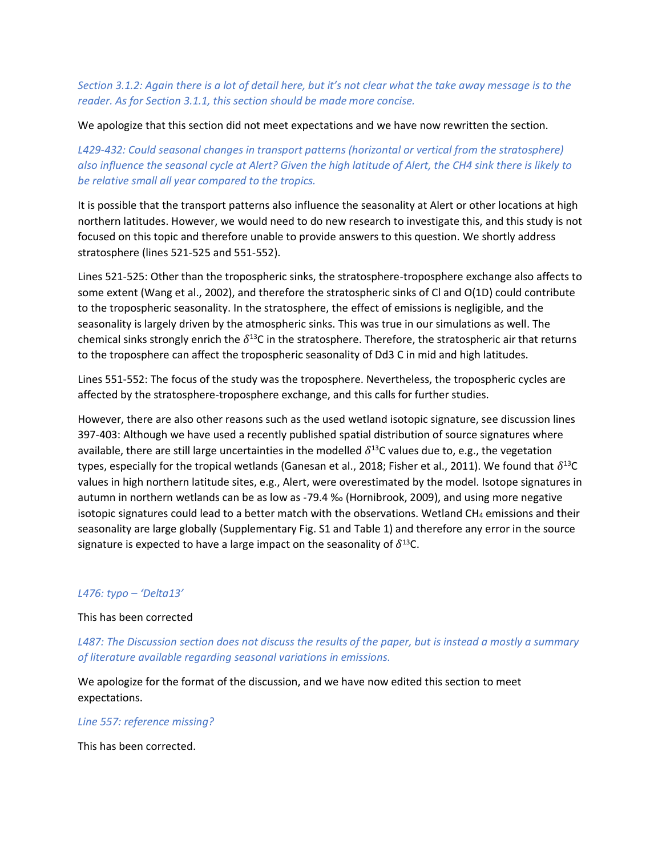*Section 3.1.2: Again there is a lot of detail here, but it's not clear what the take away message is to the reader. As for Section 3.1.1, this section should be made more concise.*

We apologize that this section did not meet expectations and we have now rewritten the section.

*L429-432: Could seasonal changes in transport patterns (horizontal or vertical from the stratosphere) also influence the seasonal cycle at Alert? Given the high latitude of Alert, the CH4 sink there is likely to be relative small all year compared to the tropics.*

It is possible that the transport patterns also influence the seasonality at Alert or other locations at high northern latitudes. However, we would need to do new research to investigate this, and this study is not focused on this topic and therefore unable to provide answers to this question. We shortly address stratosphere (lines 521-525 and 551-552).

Lines 521-525: Other than the tropospheric sinks, the stratosphere-troposphere exchange also affects to some extent (Wang et al., 2002), and therefore the stratospheric sinks of Cl and O(1D) could contribute to the tropospheric seasonality. In the stratosphere, the effect of emissions is negligible, and the seasonality is largely driven by the atmospheric sinks. This was true in our simulations as well. The chemical sinks strongly enrich the  $\delta^{13}$ C in the stratosphere. Therefore, the stratospheric air that returns to the troposphere can affect the tropospheric seasonality of Dd3 C in mid and high latitudes.

Lines 551-552: The focus of the study was the troposphere. Nevertheless, the tropospheric cycles are affected by the stratosphere-troposphere exchange, and this calls for further studies.

However, there are also other reasons such as the used wetland isotopic signature, see discussion lines 397-403: Although we have used a recently published spatial distribution of source signatures where available, there are still large uncertainties in the modelled  $\delta^{13}$ C values due to, e.g., the vegetation types, especially for the tropical wetlands (Ganesan et al., 2018; Fisher et al., 2011). We found that  $\delta^{13}$ C values in high northern latitude sites, e.g., Alert, were overestimated by the model. Isotope signatures in autumn in northern wetlands can be as low as -79.4 ‰ (Hornibrook, 2009), and using more negative isotopic signatures could lead to a better match with the observations. Wetland  $CH_4$  emissions and their seasonality are large globally (Supplementary Fig. S1 and Table 1) and therefore any error in the source signature is expected to have a large impact on the seasonality of  $\delta^{13}C$ .

#### *L476: typo – 'Delta13'*

#### This has been corrected

*L487: The Discussion section does not discuss the results of the paper, but is instead a mostly a summary of literature available regarding seasonal variations in emissions.*

We apologize for the format of the discussion, and we have now edited this section to meet expectations.

#### *Line 557: reference missing?*

This has been corrected.